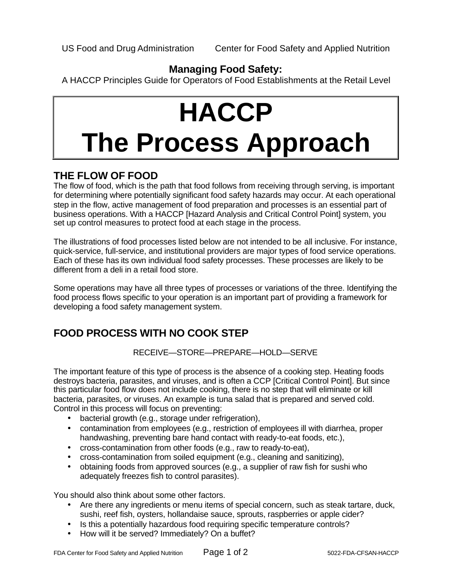#### **Managing Food Safety:**

A HACCP Principles Guide for Operators of Food Establishments at the Retail Level

# **HACCP The Process Approach**

### **THE FLOW OF FOOD**

The flow of food, which is the path that food follows from receiving through serving, is important for determining where potentially significant food safety hazards may occur. At each operational step in the flow, active management of food preparation and processes is an essential part of business operations. With a HACCP [Hazard Analysis and Critical Control Point] system, you set up control measures to protect food at each stage in the process.

The illustrations of food processes listed below are not intended to be all inclusive. For instance, quick-service, full-service, and institutional providers are major types of food service operations. Each of these has its own individual food safety processes. These processes are likely to be different from a deli in a retail food store.

Some operations may have all three types of processes or variations of the three. Identifying the food process flows specific to your operation is an important part of providing a framework for developing a food safety management system.

# **FOOD PROCESS WITH NO COOK STEP**

#### RECEIVE—STORE—PREPARE—HOLD—SERVE

The important feature of this type of process is the absence of a cooking step. Heating foods destroys bacteria, parasites, and viruses, and is often a CCP [Critical Control Point]. But since this particular food flow does not include cooking, there is no step that will eliminate or kill bacteria, parasites, or viruses. An example is tuna salad that is prepared and served cold. Control in this process will focus on preventing:

- bacterial growth (e.g., storage under refrigeration),
- contamination from employees (e.g., restriction of employees ill with diarrhea, proper handwashing, preventing bare hand contact with ready-to-eat foods, etc.),
- cross-contamination from other foods (e.g., raw to ready-to-eat),
- cross-contamination from soiled equipment (e.g., cleaning and sanitizing),
- obtaining foods from approved sources (e.g., a supplier of raw fish for sushi who adequately freezes fish to control parasites).

You should also think about some other factors.

- Are there any ingredients or menu items of special concern, such as steak tartare, duck, sushi, reef fish, oysters, hollandaise sauce, sprouts, raspberries or apple cider?
- Is this a potentially hazardous food requiring specific temperature controls?
- How will it be served? Immediately? On a buffet?